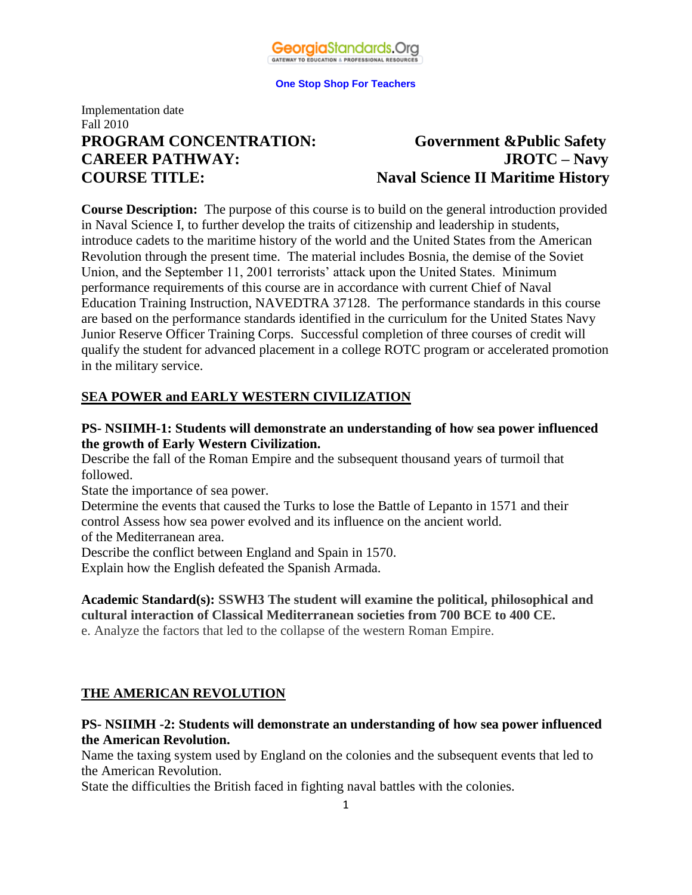

## Implementation date Fall 2010 **PROGRAM CONCENTRATION: Government &Public Safety CAREER PATHWAY: JROTC – Navy**

# **COURSE TITLE: Naval Science II Maritime History**

**Course Description:** The purpose of this course is to build on the general introduction provided in Naval Science I, to further develop the traits of citizenship and leadership in students, introduce cadets to the maritime history of the world and the United States from the American Revolution through the present time. The material includes Bosnia, the demise of the Soviet Union, and the September 11, 2001 terrorists' attack upon the United States. Minimum performance requirements of this course are in accordance with current Chief of Naval Education Training Instruction, NAVEDTRA 37128. The performance standards in this course are based on the performance standards identified in the curriculum for the United States Navy Junior Reserve Officer Training Corps. Successful completion of three courses of credit will qualify the student for advanced placement in a college ROTC program or accelerated promotion in the military service.

#### **SEA POWER and EARLY WESTERN CIVILIZATION**

#### **PS- NSIIMH-1: Students will demonstrate an understanding of how sea power influenced the growth of Early Western Civilization.**

Describe the fall of the Roman Empire and the subsequent thousand years of turmoil that followed.

State the importance of sea power.

Determine the events that caused the Turks to lose the Battle of Lepanto in 1571 and their control Assess how sea power evolved and its influence on the ancient world.

of the Mediterranean area.

Describe the conflict between England and Spain in 1570.

Explain how the English defeated the Spanish Armada.

**Academic Standard(s): SSWH3 The student will examine the political, philosophical and cultural interaction of Classical Mediterranean societies from 700 BCE to 400 CE.** e. Analyze the factors that led to the collapse of the western Roman Empire.

## **THE AMERICAN REVOLUTION**

#### **PS- NSIIMH -2: Students will demonstrate an understanding of how sea power influenced the American Revolution.**

Name the taxing system used by England on the colonies and the subsequent events that led to the American Revolution.

State the difficulties the British faced in fighting naval battles with the colonies.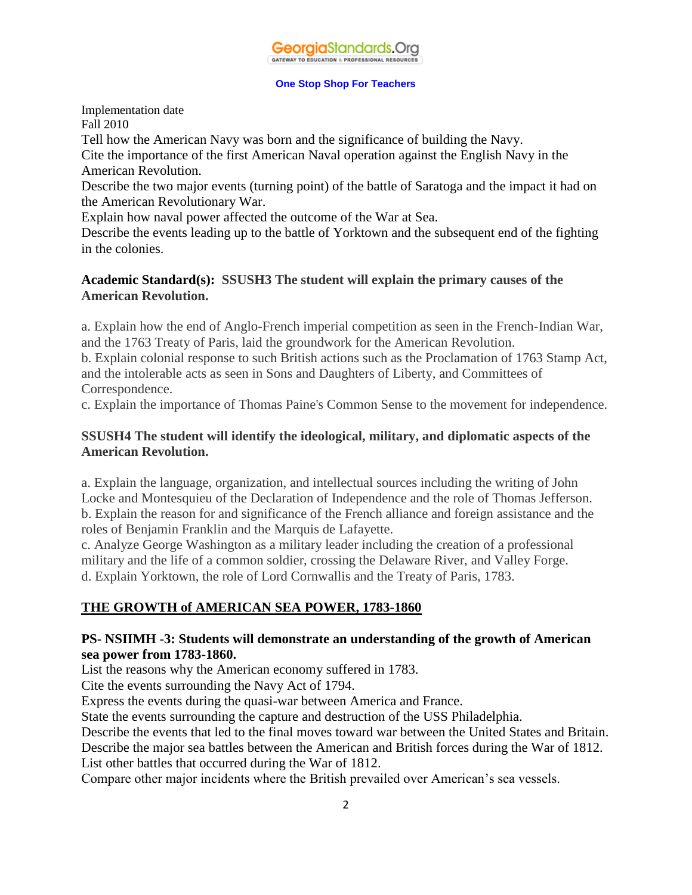

Implementation date Fall 2010

Tell how the American Navy was born and the significance of building the Navy.

Cite the importance of the first American Naval operation against the English Navy in the American Revolution.

Describe the two major events (turning point) of the battle of Saratoga and the impact it had on the American Revolutionary War.

Explain how naval power affected the outcome of the War at Sea.

Describe the events leading up to the battle of Yorktown and the subsequent end of the fighting in the colonies.

#### **Academic Standard(s): SSUSH3 The student will explain the primary causes of the American Revolution.**

a. Explain how the end of Anglo-French imperial competition as seen in the French-Indian War, and the 1763 Treaty of Paris, laid the groundwork for the American Revolution.

b. Explain colonial response to such British actions such as the Proclamation of 1763 Stamp Act, and the intolerable acts as seen in Sons and Daughters of Liberty, and Committees of Correspondence.

c. Explain the importance of Thomas Paine's Common Sense to the movement for independence.

## **SSUSH4 The student will identify the ideological, military, and diplomatic aspects of the American Revolution.**

a. Explain the language, organization, and intellectual sources including the writing of John Locke and Montesquieu of the Declaration of Independence and the role of Thomas Jefferson. b. Explain the reason for and significance of the French alliance and foreign assistance and the roles of Benjamin Franklin and the Marquis de Lafayette.

c. Analyze George Washington as a military leader including the creation of a professional military and the life of a common soldier, crossing the Delaware River, and Valley Forge. d. Explain Yorktown, the role of Lord Cornwallis and the Treaty of Paris, 1783.

## **THE GROWTH of AMERICAN SEA POWER, 1783-1860**

## **PS- NSIIMH -3: Students will demonstrate an understanding of the growth of American sea power from 1783-1860.**

List the reasons why the American economy suffered in 1783.

Cite the events surrounding the Navy Act of 1794.

Express the events during the quasi-war between America and France.

State the events surrounding the capture and destruction of the USS Philadelphia.

Describe the events that led to the final moves toward war between the United States and Britain.

Describe the major sea battles between the American and British forces during the War of 1812.

List other battles that occurred during the War of 1812.

Compare other major incidents where the British prevailed over American's sea vessels.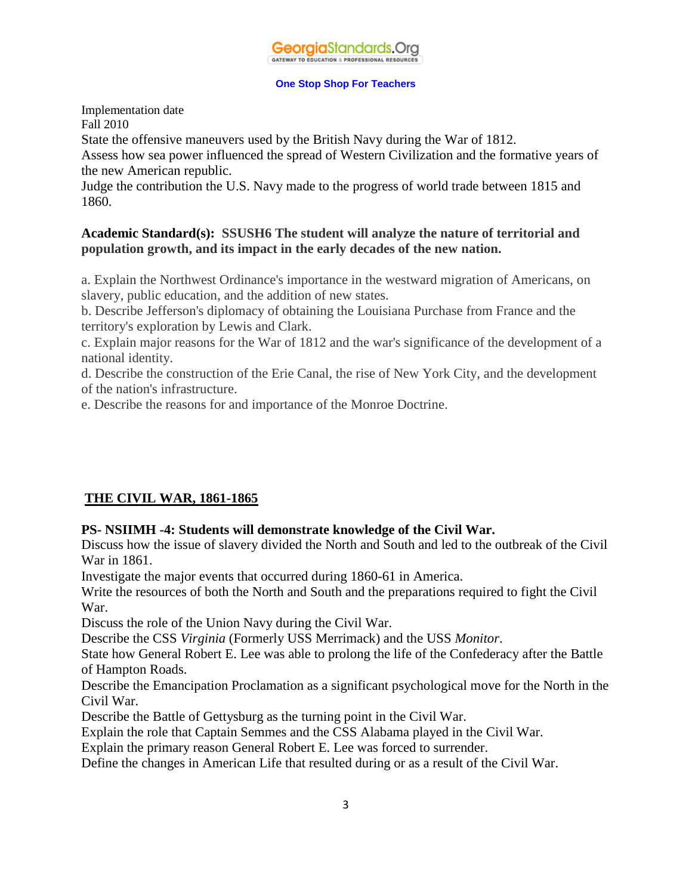Implementation date Fall 2010

State the offensive maneuvers used by the British Navy during the War of 1812.

Assess how sea power influenced the spread of Western Civilization and the formative years of the new American republic.

Judge the contribution the U.S. Navy made to the progress of world trade between 1815 and 1860.

#### **Academic Standard(s): SSUSH6 The student will analyze the nature of territorial and population growth, and its impact in the early decades of the new nation.**

a. Explain the Northwest Ordinance's importance in the westward migration of Americans, on slavery, public education, and the addition of new states.

b. Describe Jefferson's diplomacy of obtaining the Louisiana Purchase from France and the territory's exploration by Lewis and Clark.

c. Explain major reasons for the War of 1812 and the war's significance of the development of a national identity.

d. Describe the construction of the Erie Canal, the rise of New York City, and the development of the nation's infrastructure.

e. Describe the reasons for and importance of the Monroe Doctrine.

## **THE CIVIL WAR, 1861-1865**

## **PS- NSIIMH -4: Students will demonstrate knowledge of the Civil War.**

Discuss how the issue of slavery divided the North and South and led to the outbreak of the Civil War in 1861.

Investigate the major events that occurred during 1860-61 in America.

Write the resources of both the North and South and the preparations required to fight the Civil War.

Discuss the role of the Union Navy during the Civil War.

Describe the CSS *Virginia* (Formerly USS Merrimack) and the USS *Monitor*.

State how General Robert E. Lee was able to prolong the life of the Confederacy after the Battle of Hampton Roads.

Describe the Emancipation Proclamation as a significant psychological move for the North in the Civil War.

Describe the Battle of Gettysburg as the turning point in the Civil War.

Explain the role that Captain Semmes and the CSS Alabama played in the Civil War.

Explain the primary reason General Robert E. Lee was forced to surrender.

Define the changes in American Life that resulted during or as a result of the Civil War.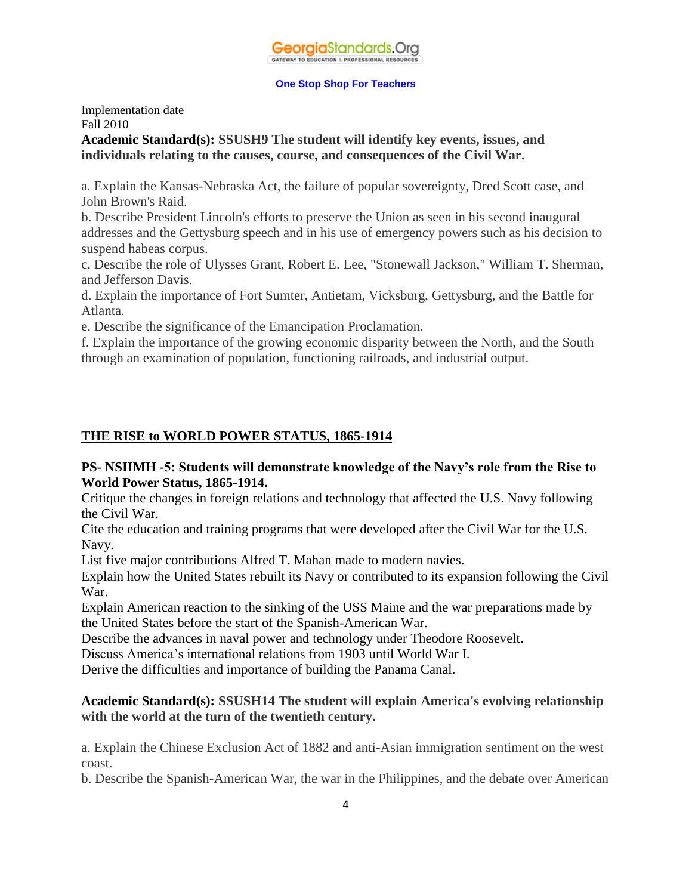

#### Implementation date Fall 2010 **Academic Standard(s): SSUSH9 The student will identify key events, issues, and individuals relating to the causes, course, and consequences of the Civil War.**

a. Explain the Kansas-Nebraska Act, the failure of popular sovereignty, Dred Scott case, and John Brown's Raid.

b. Describe President Lincoln's efforts to preserve the Union as seen in his second inaugural addresses and the Gettysburg speech and in his use of emergency powers such as his decision to suspend habeas corpus.

c. Describe the role of Ulysses Grant, Robert E. Lee, "Stonewall Jackson," William T. Sherman, and Jefferson Davis.

d. Explain the importance of Fort Sumter, Antietam, Vicksburg, Gettysburg, and the Battle for Atlanta.

e. Describe the significance of the Emancipation Proclamation.

f. Explain the importance of the growing economic disparity between the North, and the South through an examination of population, functioning railroads, and industrial output.

## **THE RISE to WORLD POWER STATUS, 1865-1914**

#### **PS- NSIIMH -5: Students will demonstrate knowledge of the Navy's role from the Rise to World Power Status, 1865-1914.**

Critique the changes in foreign relations and technology that affected the U.S. Navy following the Civil War.

Cite the education and training programs that were developed after the Civil War for the U.S. Navy.

List five major contributions Alfred T. Mahan made to modern navies.

Explain how the United States rebuilt its Navy or contributed to its expansion following the Civil War.

Explain American reaction to the sinking of the USS Maine and the war preparations made by the United States before the start of the Spanish-American War.

Describe the advances in naval power and technology under Theodore Roosevelt.

Discuss America's international relations from 1903 until World War I.

Derive the difficulties and importance of building the Panama Canal.

#### **Academic Standard(s): SSUSH14 The student will explain America's evolving relationship with the world at the turn of the twentieth century.**

a. Explain the Chinese Exclusion Act of 1882 and anti-Asian immigration sentiment on the west coast.

b. Describe the Spanish-American War, the war in the Philippines, and the debate over American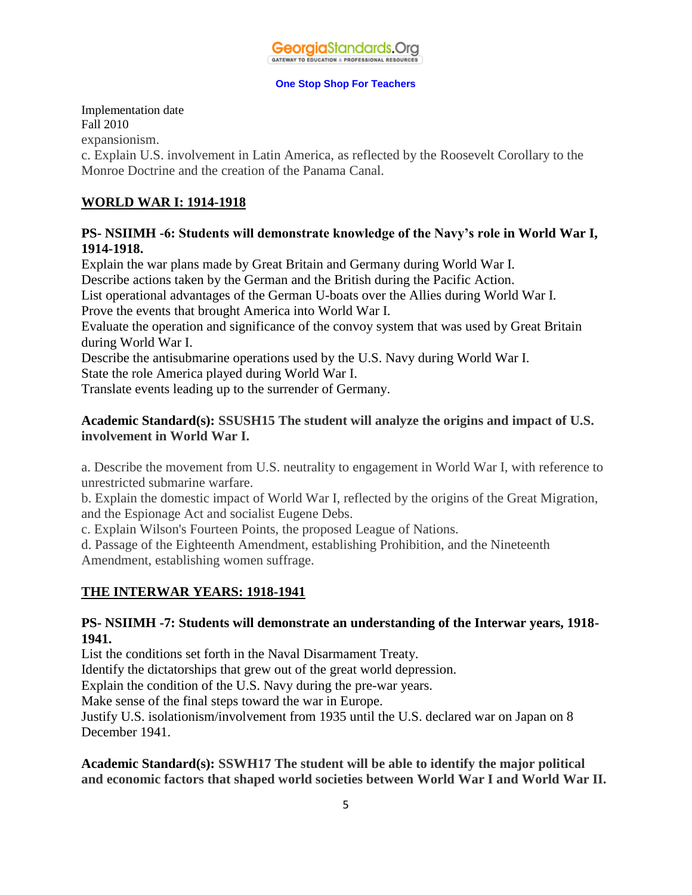#### Implementation date Fall 2010 expansionism.

c. Explain U.S. involvement in Latin America, as reflected by the Roosevelt Corollary to the Monroe Doctrine and the creation of the Panama Canal.

## **WORLD WAR I: 1914-1918**

#### **PS- NSIIMH -6: Students will demonstrate knowledge of the Navy's role in World War I, 1914-1918.**

Explain the war plans made by Great Britain and Germany during World War I. Describe actions taken by the German and the British during the Pacific Action. List operational advantages of the German U-boats over the Allies during World War I. Prove the events that brought America into World War I.

Evaluate the operation and significance of the convoy system that was used by Great Britain during World War I.

Describe the antisubmarine operations used by the U.S. Navy during World War I.

State the role America played during World War I.

Translate events leading up to the surrender of Germany.

## **Academic Standard(s): SSUSH15 The student will analyze the origins and impact of U.S. involvement in World War I.**

a. Describe the movement from U.S. neutrality to engagement in World War I, with reference to unrestricted submarine warfare.

b. Explain the domestic impact of World War I, reflected by the origins of the Great Migration, and the Espionage Act and socialist Eugene Debs.

c. Explain Wilson's Fourteen Points, the proposed League of Nations.

d. Passage of the Eighteenth Amendment, establishing Prohibition, and the Nineteenth Amendment, establishing women suffrage.

## **THE INTERWAR YEARS: 1918-1941**

#### **PS- NSIIMH -7: Students will demonstrate an understanding of the Interwar years, 1918- 1941.**

List the conditions set forth in the Naval Disarmament Treaty.

Identify the dictatorships that grew out of the great world depression.

Explain the condition of the U.S. Navy during the pre-war years.

Make sense of the final steps toward the war in Europe.

Justify U.S. isolationism/involvement from 1935 until the U.S. declared war on Japan on 8 December 1941.

**Academic Standard(s): SSWH17 The student will be able to identify the major political and economic factors that shaped world societies between World War I and World War II.**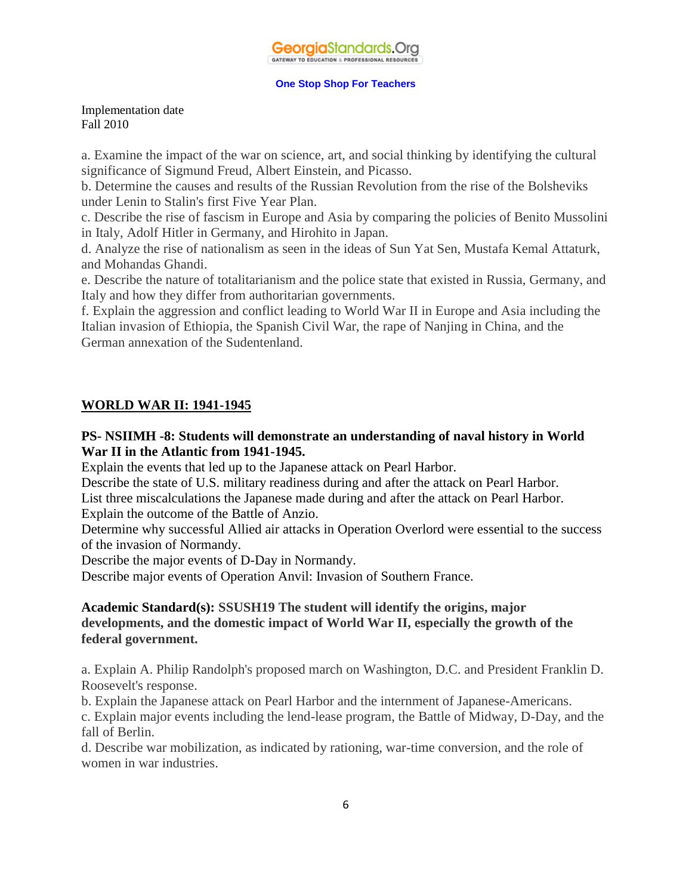Implementation date Fall 2010

a. Examine the impact of the war on science, art, and social thinking by identifying the cultural significance of Sigmund Freud, Albert Einstein, and Picasso.

b. Determine the causes and results of the Russian Revolution from the rise of the Bolsheviks under Lenin to Stalin's first Five Year Plan.

c. Describe the rise of fascism in Europe and Asia by comparing the policies of Benito Mussolini in Italy, Adolf Hitler in Germany, and Hirohito in Japan.

d. Analyze the rise of nationalism as seen in the ideas of Sun Yat Sen, Mustafa Kemal Attaturk, and Mohandas Ghandi.

e. Describe the nature of totalitarianism and the police state that existed in Russia, Germany, and Italy and how they differ from authoritarian governments.

f. Explain the aggression and conflict leading to World War II in Europe and Asia including the Italian invasion of Ethiopia, the Spanish Civil War, the rape of Nanjing in China, and the German annexation of the Sudentenland.

#### **WORLD WAR II: 1941-1945**

#### **PS- NSIIMH -8: Students will demonstrate an understanding of naval history in World War II in the Atlantic from 1941-1945.**

Explain the events that led up to the Japanese attack on Pearl Harbor.

Describe the state of U.S. military readiness during and after the attack on Pearl Harbor.

List three miscalculations the Japanese made during and after the attack on Pearl Harbor.

Explain the outcome of the Battle of Anzio.

Determine why successful Allied air attacks in Operation Overlord were essential to the success of the invasion of Normandy.

Describe the major events of D-Day in Normandy.

Describe major events of Operation Anvil: Invasion of Southern France.

## **Academic Standard(s): SSUSH19 The student will identify the origins, major developments, and the domestic impact of World War II, especially the growth of the federal government.**

a. Explain A. Philip Randolph's proposed march on Washington, D.C. and President Franklin D. Roosevelt's response.

b. Explain the Japanese attack on Pearl Harbor and the internment of Japanese-Americans.

c. Explain major events including the lend-lease program, the Battle of Midway, D-Day, and the fall of Berlin.

d. Describe war mobilization, as indicated by rationing, war-time conversion, and the role of women in war industries.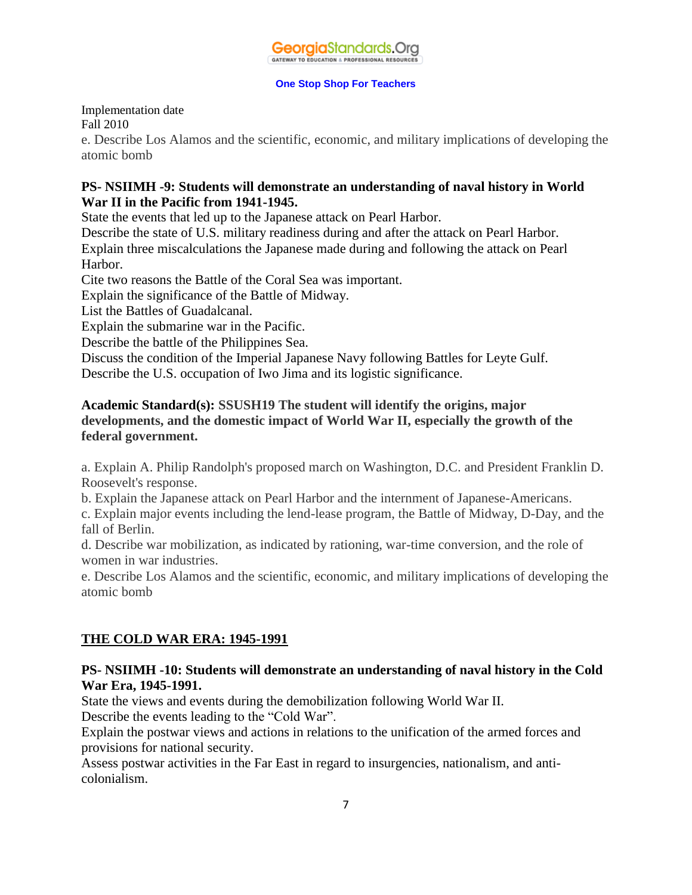## Implementation date Fall 2010

e. Describe Los Alamos and the scientific, economic, and military implications of developing the atomic bomb

## **PS- NSIIMH -9: Students will demonstrate an understanding of naval history in World War II in the Pacific from 1941-1945.**

State the events that led up to the Japanese attack on Pearl Harbor.

Describe the state of U.S. military readiness during and after the attack on Pearl Harbor. Explain three miscalculations the Japanese made during and following the attack on Pearl Harbor.

Cite two reasons the Battle of the Coral Sea was important.

Explain the significance of the Battle of Midway.

List the Battles of Guadalcanal.

Explain the submarine war in the Pacific.

Describe the battle of the Philippines Sea.

Discuss the condition of the Imperial Japanese Navy following Battles for Leyte Gulf. Describe the U.S. occupation of Iwo Jima and its logistic significance.

## **Academic Standard(s): SSUSH19 The student will identify the origins, major developments, and the domestic impact of World War II, especially the growth of the federal government.**

a. Explain A. Philip Randolph's proposed march on Washington, D.C. and President Franklin D. Roosevelt's response.

b. Explain the Japanese attack on Pearl Harbor and the internment of Japanese-Americans.

c. Explain major events including the lend-lease program, the Battle of Midway, D-Day, and the fall of Berlin.

d. Describe war mobilization, as indicated by rationing, war-time conversion, and the role of women in war industries.

e. Describe Los Alamos and the scientific, economic, and military implications of developing the atomic bomb

## **THE COLD WAR ERA: 1945-1991**

#### **PS- NSIIMH -10: Students will demonstrate an understanding of naval history in the Cold War Era, 1945-1991.**

State the views and events during the demobilization following World War II.

Describe the events leading to the "Cold War".

Explain the postwar views and actions in relations to the unification of the armed forces and provisions for national security.

Assess postwar activities in the Far East in regard to insurgencies, nationalism, and anticolonialism.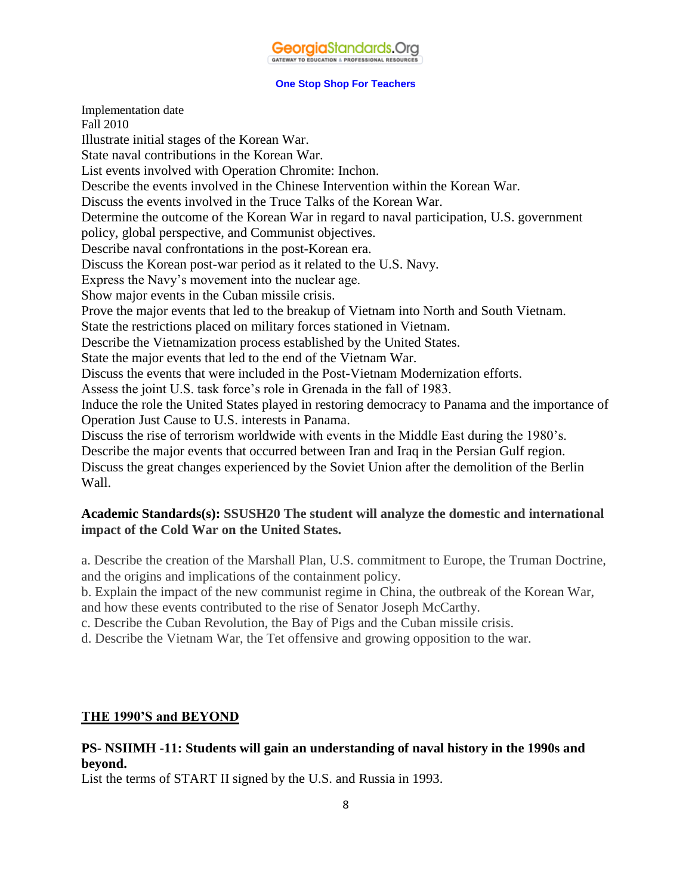Implementation date Fall 2010 Illustrate initial stages of the Korean War. State naval contributions in the Korean War. List events involved with Operation Chromite: Inchon. Describe the events involved in the Chinese Intervention within the Korean War. Discuss the events involved in the Truce Talks of the Korean War. Determine the outcome of the Korean War in regard to naval participation, U.S. government policy, global perspective, and Communist objectives. Describe naval confrontations in the post-Korean era. Discuss the Korean post-war period as it related to the U.S. Navy. Express the Navy's movement into the nuclear age. Show major events in the Cuban missile crisis. Prove the major events that led to the breakup of Vietnam into North and South Vietnam. State the restrictions placed on military forces stationed in Vietnam. Describe the Vietnamization process established by the United States. State the major events that led to the end of the Vietnam War. Discuss the events that were included in the Post-Vietnam Modernization efforts. Assess the joint U.S. task force's role in Grenada in the fall of 1983. Induce the role the United States played in restoring democracy to Panama and the importance of Operation Just Cause to U.S. interests in Panama. Discuss the rise of terrorism worldwide with events in the Middle East during the 1980's. Describe the major events that occurred between Iran and Iraq in the Persian Gulf region. Discuss the great changes experienced by the Soviet Union after the demolition of the Berlin Wall.

#### **Academic Standards(s): SSUSH20 The student will analyze the domestic and international impact of the Cold War on the United States.**

a. Describe the creation of the Marshall Plan, U.S. commitment to Europe, the Truman Doctrine, and the origins and implications of the containment policy.

b. Explain the impact of the new communist regime in China, the outbreak of the Korean War, and how these events contributed to the rise of Senator Joseph McCarthy.

c. Describe the Cuban Revolution, the Bay of Pigs and the Cuban missile crisis.

d. Describe the Vietnam War, the Tet offensive and growing opposition to the war.

#### **THE 1990'S and BEYOND**

## **PS- NSIIMH -11: Students will gain an understanding of naval history in the 1990s and beyond.**

List the terms of START II signed by the U.S. and Russia in 1993.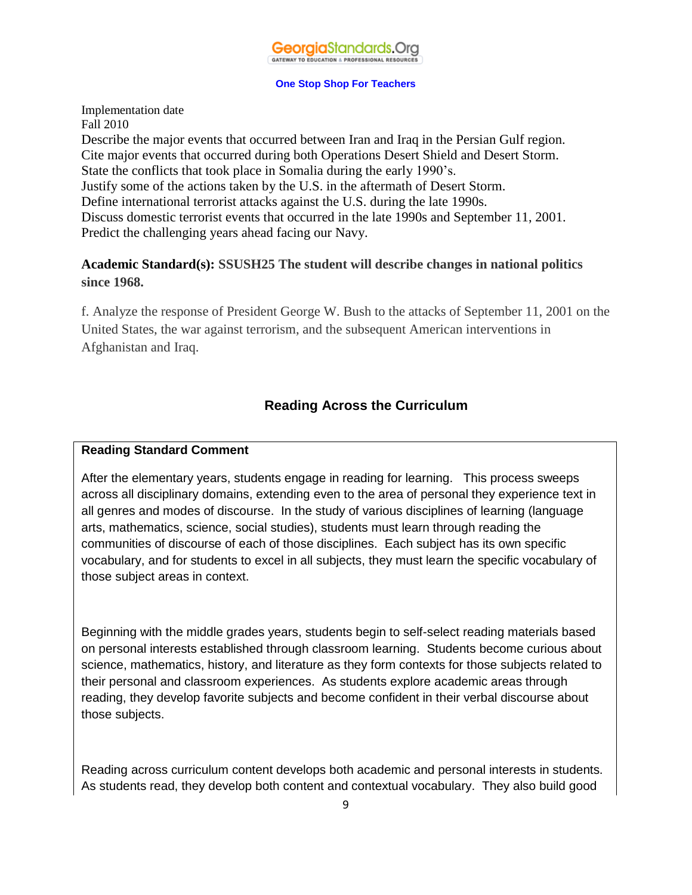

Implementation date Fall 2010 Describe the major events that occurred between Iran and Iraq in the Persian Gulf region. Cite major events that occurred during both Operations Desert Shield and Desert Storm. State the conflicts that took place in Somalia during the early 1990's. Justify some of the actions taken by the U.S. in the aftermath of Desert Storm. Define international terrorist attacks against the U.S. during the late 1990s. Discuss domestic terrorist events that occurred in the late 1990s and September 11, 2001. Predict the challenging years ahead facing our Navy.

## **Academic Standard(s): SSUSH25 The student will describe changes in national politics since 1968.**

f. Analyze the response of President George W. Bush to the attacks of September 11, 2001 on the United States, the war against terrorism, and the subsequent American interventions in Afghanistan and Iraq.

## **Reading Across the Curriculum**

#### **Reading Standard Comment**

After the elementary years, students engage in reading for learning. This process sweeps across all disciplinary domains, extending even to the area of personal they experience text in all genres and modes of discourse. In the study of various disciplines of learning (language arts, mathematics, science, social studies), students must learn through reading the communities of discourse of each of those disciplines. Each subject has its own specific vocabulary, and for students to excel in all subjects, they must learn the specific vocabulary of those subject areas in context.

Beginning with the middle grades years, students begin to self-select reading materials based on personal interests established through classroom learning. Students become curious about science, mathematics, history, and literature as they form contexts for those subjects related to their personal and classroom experiences. As students explore academic areas through reading, they develop favorite subjects and become confident in their verbal discourse about those subjects.

Reading across curriculum content develops both academic and personal interests in students. As students read, they develop both content and contextual vocabulary. They also build good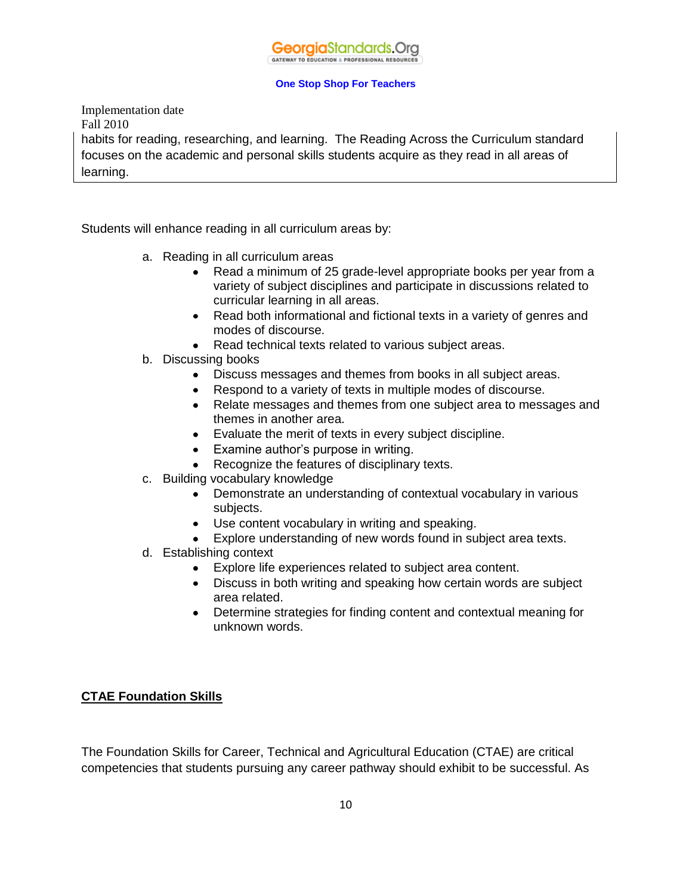

Implementation date Fall 2010 habits for reading, researching, and learning. The Reading Across the Curriculum standard focuses on the academic and personal skills students acquire as they read in all areas of learning.

Students will enhance reading in all curriculum areas by:

- a. Reading in all curriculum areas
	- Read a minimum of 25 grade-level appropriate books per year from a variety of subject disciplines and participate in discussions related to curricular learning in all areas.
	- Read both informational and fictional texts in a variety of genres and modes of discourse.
	- Read technical texts related to various subject areas.
- b. Discussing books
	- Discuss messages and themes from books in all subject areas.
	- Respond to a variety of texts in multiple modes of discourse.
	- Relate messages and themes from one subject area to messages and themes in another area.
	- Evaluate the merit of texts in every subject discipline.
	- Examine author's purpose in writing.
	- Recognize the features of disciplinary texts.
- c. Building vocabulary knowledge
	- Demonstrate an understanding of contextual vocabulary in various subjects.
	- Use content vocabulary in writing and speaking.
	- Explore understanding of new words found in subject area texts.
- d. Establishing context
	- Explore life experiences related to subject area content.
	- Discuss in both writing and speaking how certain words are subject area related.
	- Determine strategies for finding content and contextual meaning for unknown words.

#### **CTAE Foundation Skills**

The Foundation Skills for Career, Technical and Agricultural Education (CTAE) are critical competencies that students pursuing any career pathway should exhibit to be successful. As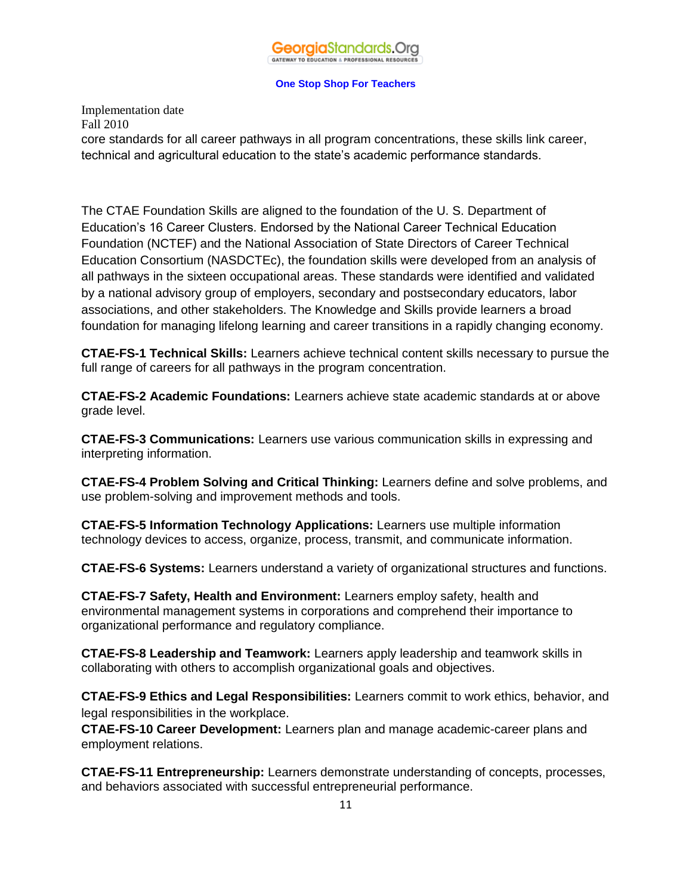Implementation date Fall 2010 core standards for all career pathways in all program concentrations, these skills link career, technical and agricultural education to the state's academic performance standards.

The CTAE Foundation Skills are aligned to the foundation of the U. S. Department of Education's 16 Career Clusters. Endorsed by the National Career Technical Education Foundation (NCTEF) and the National Association of State Directors of Career Technical Education Consortium (NASDCTEc), the foundation skills were developed from an analysis of all pathways in the sixteen occupational areas. These standards were identified and validated by a national advisory group of employers, secondary and postsecondary educators, labor associations, and other stakeholders. The Knowledge and Skills provide learners a broad foundation for managing lifelong learning and career transitions in a rapidly changing economy.

**CTAE-FS-1 Technical Skills:** Learners achieve technical content skills necessary to pursue the full range of careers for all pathways in the program concentration.

**CTAE-FS-2 Academic Foundations:** Learners achieve state academic standards at or above grade level.

**CTAE-FS-3 Communications:** Learners use various communication skills in expressing and interpreting information.

**CTAE-FS-4 Problem Solving and Critical Thinking:** Learners define and solve problems, and use problem-solving and improvement methods and tools.

**CTAE-FS-5 Information Technology Applications:** Learners use multiple information technology devices to access, organize, process, transmit, and communicate information.

**CTAE-FS-6 Systems:** Learners understand a variety of organizational structures and functions.

**CTAE-FS-7 Safety, Health and Environment:** Learners employ safety, health and environmental management systems in corporations and comprehend their importance to organizational performance and regulatory compliance.

**CTAE-FS-8 Leadership and Teamwork:** Learners apply leadership and teamwork skills in collaborating with others to accomplish organizational goals and objectives.

**CTAE-FS-9 Ethics and Legal Responsibilities:** Learners commit to work ethics, behavior, and legal responsibilities in the workplace.

**CTAE-FS-10 Career Development:** Learners plan and manage academic-career plans and employment relations.

**CTAE-FS-11 Entrepreneurship:** Learners demonstrate understanding of concepts, processes, and behaviors associated with successful entrepreneurial performance.